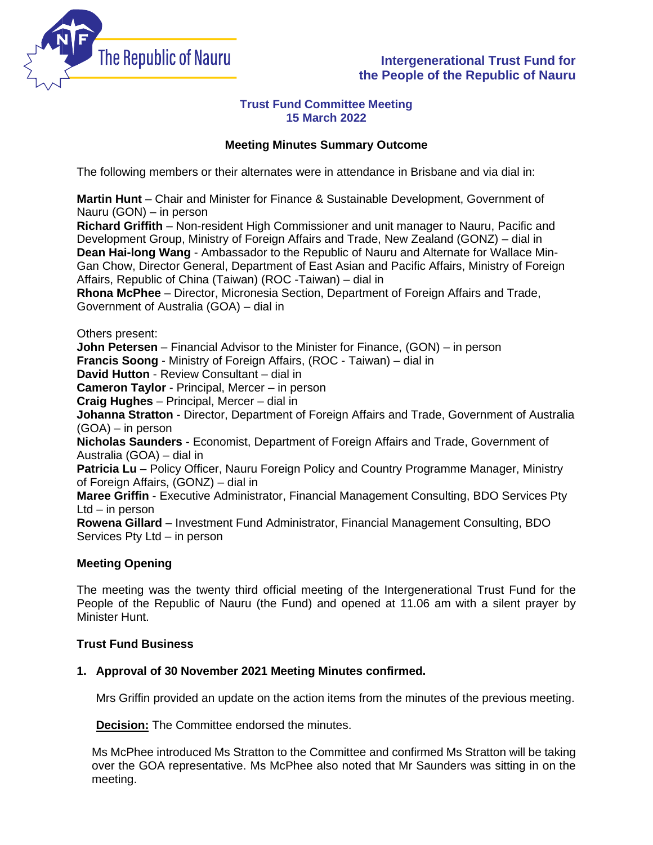

# **Intergenerational Trust Fund for the People of the Republic of Nauru**

## **Trust Fund Committee Meeting 15 March 2022**

## **Meeting Minutes Summary Outcome**

The following members or their alternates were in attendance in Brisbane and via dial in:

**Martin Hunt** – Chair and Minister for Finance & Sustainable Development, Government of Nauru (GON) – in person

**Richard Griffith** – Non-resident High Commissioner and unit manager to Nauru, Pacific and Development Group, Ministry of Foreign Affairs and Trade, New Zealand (GONZ) – dial in **Dean Hai-long Wang** - Ambassador to the Republic of Nauru and Alternate for Wallace Min-Gan Chow, Director General, Department of East Asian and Pacific Affairs, Ministry of Foreign Affairs, Republic of China (Taiwan) (ROC -Taiwan) – dial in

**Rhona McPhee** – Director, Micronesia Section, Department of Foreign Affairs and Trade, Government of Australia (GOA) – dial in

Others present:

**John Petersen** – Financial Advisor to the Minister for Finance, (GON) – in person

**Francis Soong** - Ministry of Foreign Affairs, (ROC - Taiwan) – dial in

**David Hutton** - Review Consultant – dial in

**Cameron Taylor** - Principal, Mercer – in person

**Craig Hughes** – Principal, Mercer – dial in

**Johanna Stratton** - Director, Department of Foreign Affairs and Trade, Government of Australia (GOA) – in person

**Nicholas Saunders** - Economist, Department of Foreign Affairs and Trade, Government of Australia (GOA) – dial in

**Patricia Lu** – Policy Officer, Nauru Foreign Policy and Country Programme Manager, Ministry of Foreign Affairs, (GONZ) – dial in

**Maree Griffin** - Executive Administrator, Financial Management Consulting, BDO Services Pty Ltd – in person

**Rowena Gillard** – Investment Fund Administrator, Financial Management Consulting, BDO Services Pty Ltd – in person

## **Meeting Opening**

The meeting was the twenty third official meeting of the Intergenerational Trust Fund for the People of the Republic of Nauru (the Fund) and opened at 11.06 am with a silent prayer by Minister Hunt.

## **Trust Fund Business**

## **1. Approval of 30 November 2021 Meeting Minutes confirmed.**

Mrs Griffin provided an update on the action items from the minutes of the previous meeting.

**Decision:** The Committee endorsed the minutes.

Ms McPhee introduced Ms Stratton to the Committee and confirmed Ms Stratton will be taking over the GOA representative. Ms McPhee also noted that Mr Saunders was sitting in on the meeting.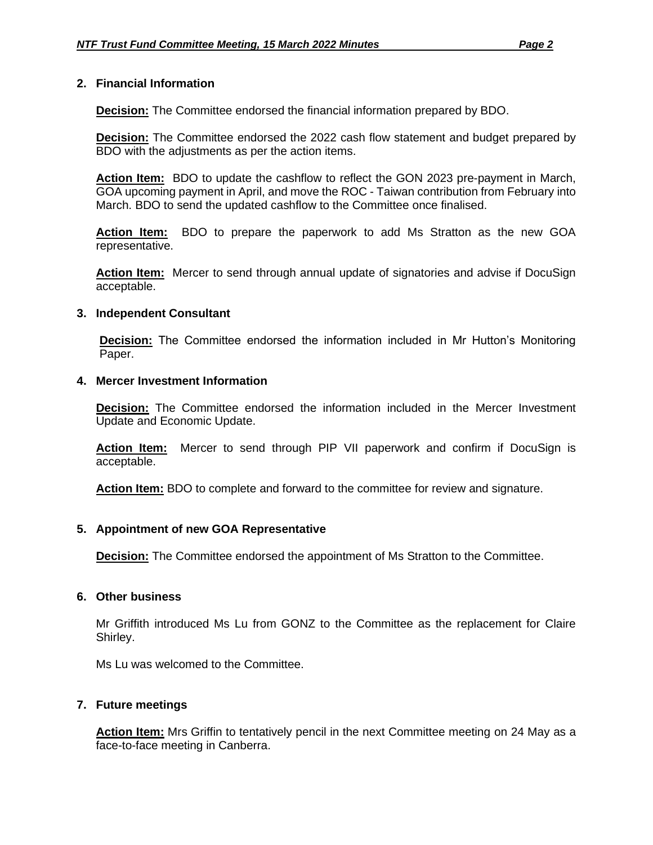#### **2. Financial Information**

**Decision:** The Committee endorsed the financial information prepared by BDO.

**Decision:** The Committee endorsed the 2022 cash flow statement and budget prepared by BDO with the adjustments as per the action items.

**Action Item:** BDO to update the cashflow to reflect the GON 2023 pre-payment in March, GOA upcoming payment in April, and move the ROC - Taiwan contribution from February into March. BDO to send the updated cashflow to the Committee once finalised.

**Action Item:** BDO to prepare the paperwork to add Ms Stratton as the new GOA representative.

**Action Item:** Mercer to send through annual update of signatories and advise if DocuSign acceptable.

#### **3. Independent Consultant**

**Decision:** The Committee endorsed the information included in Mr Hutton's Monitoring Paper.

#### **4. Mercer Investment Information**

**Decision:** The Committee endorsed the information included in the Mercer Investment Update and Economic Update.

**Action Item:** Mercer to send through PIP VII paperwork and confirm if DocuSign is acceptable.

**Action Item:** BDO to complete and forward to the committee for review and signature.

#### **5. Appointment of new GOA Representative**

**Decision:** The Committee endorsed the appointment of Ms Stratton to the Committee.

#### **6. Other business**

Mr Griffith introduced Ms Lu from GONZ to the Committee as the replacement for Claire Shirley.

Ms Lu was welcomed to the Committee.

#### **7. Future meetings**

**Action Item:** Mrs Griffin to tentatively pencil in the next Committee meeting on 24 May as a face-to-face meeting in Canberra.